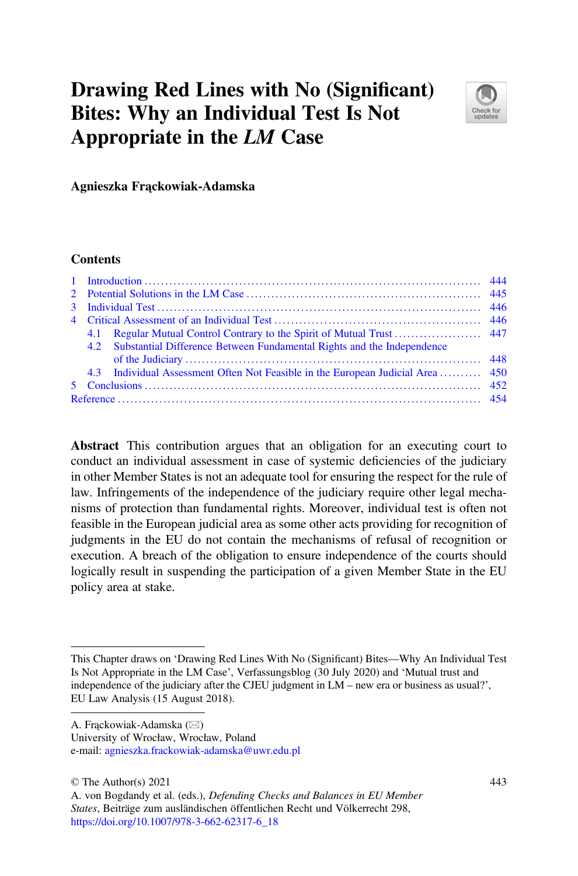# Drawing Red Lines with No (Significant) Bites: Why an Individual Test Is Not Appropriate in the LM Case



Agnieszka Frąckowiak-Adamska

#### **Contents**

|  | 4.2 Substantial Difference Between Fundamental Rights and the Independence      |  |
|--|---------------------------------------------------------------------------------|--|
|  |                                                                                 |  |
|  | 4.3 Individual Assessment Often Not Feasible in the European Judicial Area  450 |  |
|  |                                                                                 |  |
|  |                                                                                 |  |

Abstract This contribution argues that an obligation for an executing court to conduct an individual assessment in case of systemic deficiencies of the judiciary in other Member States is not an adequate tool for ensuring the respect for the rule of law. Infringements of the independence of the judiciary require other legal mechanisms of protection than fundamental rights. Moreover, individual test is often not feasible in the European judicial area as some other acts providing for recognition of judgments in the EU do not contain the mechanisms of refusal of recognition or execution. A breach of the obligation to ensure independence of the courts should logically result in suspending the participation of a given Member State in the EU policy area at stake.

e-mail: [agnieszka.frackowiak-adamska@uwr.edu.pl](mailto:agnieszka.frackowiak-adamska@uwr.edu.pl)

© The Author(s) 2021

This Chapter draws on 'Drawing Red Lines With No (Significant) Bites—Why An Individual Test Is Not Appropriate in the LM Case', Verfassungsblog (30 July 2020) and 'Mutual trust and independence of the judiciary after the CJEU judgment in LM – new era or business as usual?', EU Law Analysis (15 August 2018).

A. Frąckowiak-Adamska ( $\boxtimes$ )

University of Wrocław, Wrocław, Poland

A. von Bogdandy et al. (eds.), Defending Checks and Balances in EU Member States, Beiträge zum ausländischen öffentlichen Recht und Völkerrecht 298, [https://doi.org/10.1007/978-3-662-62317-6\\_18](https://doi.org/10.1007/978-3-662-62317-6_18#DOI)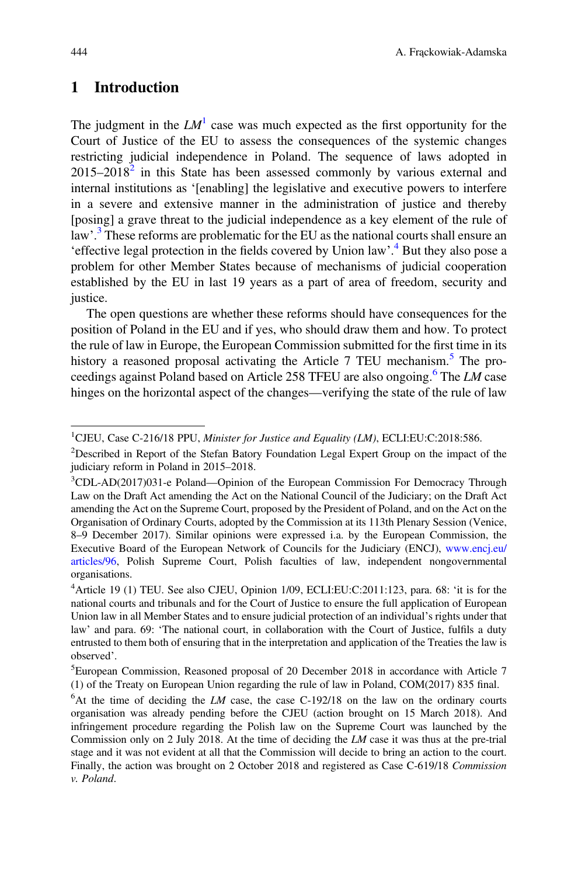## <span id="page-1-0"></span>1 Introduction

The judgment in the  $LM^1$  $LM^1$  case was much expected as the first opportunity for the Court of Justice of the EU to assess the consequences of the systemic changes restricting judicial independence in Poland. The sequence of laws adopted in  $2015-2018<sup>2</sup>$  $2015-2018<sup>2</sup>$  in this State has been assessed commonly by various external and internal institutions as '[enabling] the legislative and executive powers to interfere in a severe and extensive manner in the administration of justice and thereby [posing] a grave threat to the judicial independence as a key element of the rule of law'.<sup>[3](#page-1-3)</sup> These reforms are problematic for the EU as the national courts shall ensure an 'effective legal protection in the fields covered by Union law'.<sup>[4](#page-1-4)</sup> But they also pose a problem for other Member States because of mechanisms of judicial cooperation established by the EU in last 19 years as a part of area of freedom, security and justice.

The open questions are whether these reforms should have consequences for the position of Poland in the EU and if yes, who should draw them and how. To protect the rule of law in Europe, the European Commission submitted for the first time in its history a reasoned proposal activating the Article 7 TEU mechanism.<sup>[5](#page-1-5)</sup> The pro-ceedings against Poland based on Article 258 TFEU are also ongoing.<sup>[6](#page-1-6)</sup> The LM case hinges on the horizontal aspect of the changes—verifying the state of the rule of law

<span id="page-1-1"></span><sup>&</sup>lt;sup>1</sup>CJEU, Case C-216/18 PPU, Minister for Justice and Equality (LM), ECLI:EU:C:2018:586.

<span id="page-1-2"></span><sup>&</sup>lt;sup>2</sup>Described in Report of the Stefan Batory Foundation Legal Expert Group on the impact of the judiciary reform in Poland in 2015–2018.

<span id="page-1-3"></span><sup>&</sup>lt;sup>3</sup>CDL-AD(2017)031-e Poland—Opinion of the European Commission For Democracy Through Law on the Draft Act amending the Act on the National Council of the Judiciary; on the Draft Act amending the Act on the Supreme Court, proposed by the President of Poland, and on the Act on the Organisation of Ordinary Courts, adopted by the Commission at its 113th Plenary Session (Venice, 8–9 December 2017). Similar opinions were expressed i.a. by the European Commission, the Executive Board of the European Network of Councils for the Judiciary (ENCJ), [www.encj.eu/](http://www.encj.eu/articles/96) [articles/96,](http://www.encj.eu/articles/96) Polish Supreme Court, Polish faculties of law, independent nongovernmental organisations.

<span id="page-1-4"></span><sup>&</sup>lt;sup>4</sup> Article 19 (1) TEU. See also CJEU, Opinion 1/09, ECLI:EU:C:2011:123, para. 68: 'it is for the national courts and tribunals and for the Court of Justice to ensure the full application of European Union law in all Member States and to ensure judicial protection of an individual's rights under that law' and para. 69: 'The national court, in collaboration with the Court of Justice, fulfils a duty entrusted to them both of ensuring that in the interpretation and application of the Treaties the law is observed'.

<span id="page-1-5"></span><sup>5</sup> European Commission, Reasoned proposal of 20 December 2018 in accordance with Article 7 (1) of the Treaty on European Union regarding the rule of law in Poland, COM(2017) 835 final.

<span id="page-1-6"></span> $6$ At the time of deciding the LM case, the case C-192/18 on the law on the ordinary courts organisation was already pending before the CJEU (action brought on 15 March 2018). And infringement procedure regarding the Polish law on the Supreme Court was launched by the Commission only on 2 July 2018. At the time of deciding the LM case it was thus at the pre-trial stage and it was not evident at all that the Commission will decide to bring an action to the court. Finally, the action was brought on 2 October 2018 and registered as Case C-619/18 Commission v. Poland.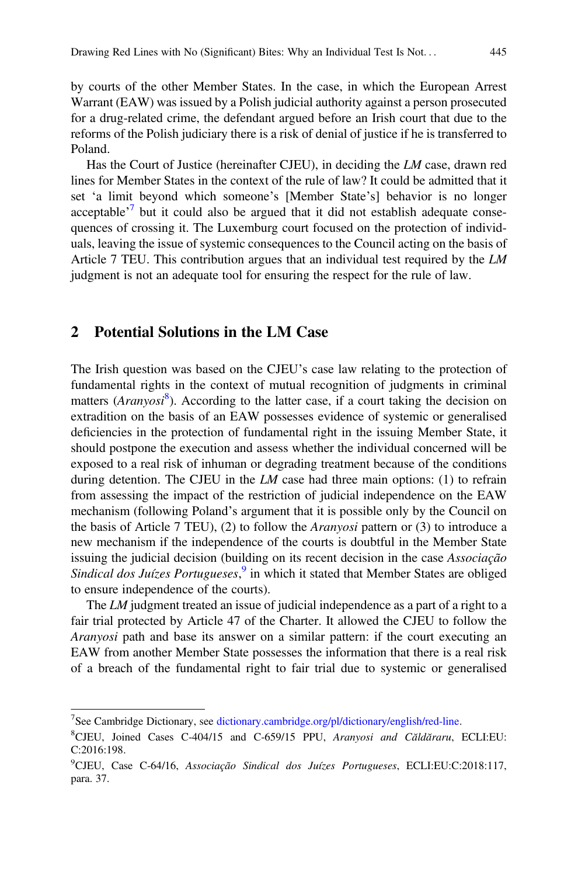by courts of the other Member States. In the case, in which the European Arrest Warrant (EAW) was issued by a Polish judicial authority against a person prosecuted for a drug-related crime, the defendant argued before an Irish court that due to the reforms of the Polish judiciary there is a risk of denial of justice if he is transferred to Poland.

Has the Court of Justice (hereinafter CJEU), in deciding the LM case, drawn red lines for Member States in the context of the rule of law? It could be admitted that it set 'a limit beyond which someone's [Member State's] behavior is no longer acceptable<sup> $\frac{7}{7}$  $\frac{7}{7}$  $\frac{7}{7}$ </sup> but it could also be argued that it did not establish adequate consequences of crossing it. The Luxemburg court focused on the protection of individuals, leaving the issue of systemic consequences to the Council acting on the basis of Article 7 TEU. This contribution argues that an individual test required by the LM judgment is not an adequate tool for ensuring the respect for the rule of law.

#### <span id="page-2-0"></span>2 Potential Solutions in the LM Case

The Irish question was based on the CJEU's case law relating to the protection of fundamental rights in the context of mutual recognition of judgments in criminal matters (Aranyosi<sup>[8](#page-2-2)</sup>). According to the latter case, if a court taking the decision on extradition on the basis of an EAW possesses evidence of systemic or generalised deficiencies in the protection of fundamental right in the issuing Member State, it should postpone the execution and assess whether the individual concerned will be exposed to a real risk of inhuman or degrading treatment because of the conditions during detention. The CJEU in the  $LM$  case had three main options: (1) to refrain from assessing the impact of the restriction of judicial independence on the EAW mechanism (following Poland's argument that it is possible only by the Council on the basis of Article 7 TEU), (2) to follow the Aranyosi pattern or (3) to introduce a new mechanism if the independence of the courts is doubtful in the Member State issuing the judicial decision (building on its recent decision in the case Associação Sindical dos Juízes Portugueses,<sup>[9](#page-2-3)</sup> in which it stated that Member States are obliged to ensure independence of the courts).

The LM judgment treated an issue of judicial independence as a part of a right to a fair trial protected by Article 47 of the Charter. It allowed the CJEU to follow the Aranyosi path and base its answer on a similar pattern: if the court executing an EAW from another Member State possesses the information that there is a real risk of a breach of the fundamental right to fair trial due to systemic or generalised

<span id="page-2-1"></span><sup>&</sup>lt;sup>7</sup>See Cambridge Dictionary, see [dictionary.cambridge.org/pl/dictionary/english/red-line](http://dictionary.cambridge.org/pl/dictionary/english/red-line).

<span id="page-2-2"></span><sup>&</sup>lt;sup>8</sup>CJEU, Joined Cases C-404/15 and C-659/15 PPU, Aranyosi and Căldăraru, ECLI:EU: C:2016:198.

<span id="page-2-3"></span><sup>&</sup>lt;sup>9</sup>CJEU, Case C-64/16, Associação Sindical dos Juízes Portugueses, ECLI:EU:C:2018:117, para. 37.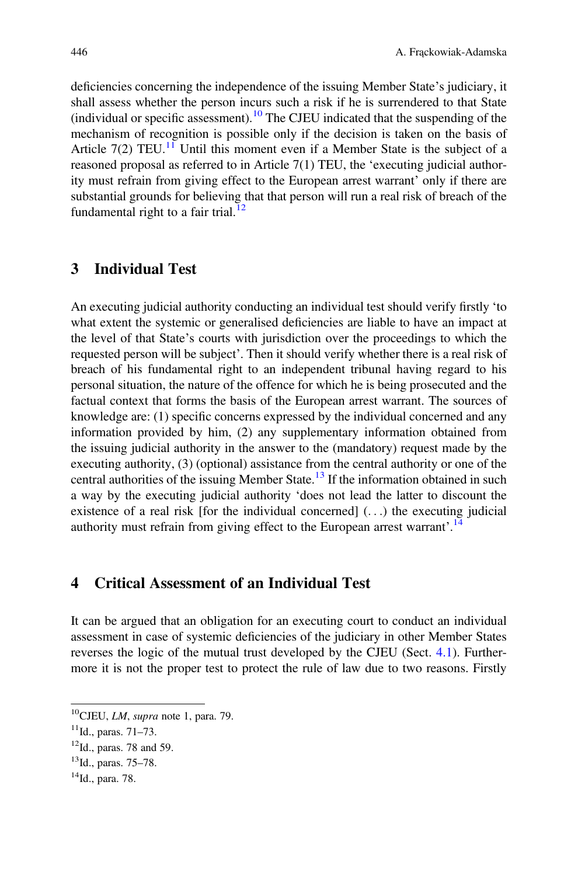deficiencies concerning the independence of the issuing Member State's judiciary, it shall assess whether the person incurs such a risk if he is surrendered to that State (individual or specific assessment).<sup>[10](#page-3-2)</sup> The CJEU indicated that the suspending of the mechanism of recognition is possible only if the decision is taken on the basis of Article 7(2) TEU.<sup>[11](#page-3-3)</sup> Until this moment even if a Member State is the subject of a reasoned proposal as referred to in Article 7(1) TEU, the 'executing judicial authority must refrain from giving effect to the European arrest warrant' only if there are substantial grounds for believing that that person will run a real risk of breach of the fundamental right to a fair trial.<sup>[12](#page-3-4)</sup>

#### <span id="page-3-0"></span>3 Individual Test

An executing judicial authority conducting an individual test should verify firstly 'to what extent the systemic or generalised deficiencies are liable to have an impact at the level of that State's courts with jurisdiction over the proceedings to which the requested person will be subject'. Then it should verify whether there is a real risk of breach of his fundamental right to an independent tribunal having regard to his personal situation, the nature of the offence for which he is being prosecuted and the factual context that forms the basis of the European arrest warrant. The sources of knowledge are: (1) specific concerns expressed by the individual concerned and any information provided by him, (2) any supplementary information obtained from the issuing judicial authority in the answer to the (mandatory) request made by the executing authority, (3) (optional) assistance from the central authority or one of the central authorities of the issuing Member State.[13](#page-3-5) If the information obtained in such a way by the executing judicial authority 'does not lead the latter to discount the existence of a real risk [for the individual concerned] (...) the executing judicial authority must refrain from giving effect to the European arrest warrant'.<sup>[14](#page-3-6)</sup>

### <span id="page-3-1"></span>4 Critical Assessment of an Individual Test

It can be argued that an obligation for an executing court to conduct an individual assessment in case of systemic deficiencies of the judiciary in other Member States reverses the logic of the mutual trust developed by the CJEU (Sect. [4.1](#page-4-0)). Furthermore it is not the proper test to protect the rule of law due to two reasons. Firstly

<span id="page-3-2"></span> $10$ CJEU, *LM*, supra note 1, para. 79.

<span id="page-3-3"></span> $11$ Id., paras. 71–73.

<span id="page-3-4"></span> $12$ Id., paras. 78 and 59.

<span id="page-3-5"></span><sup>13</sup>Id., paras. 75–78.

<span id="page-3-6"></span><sup>14</sup>Id., para. 78.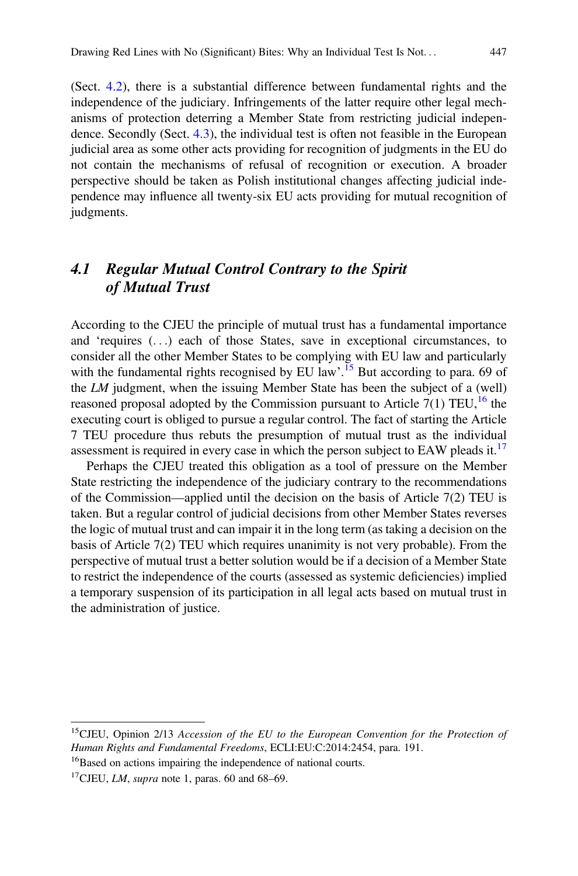(Sect. [4.2](#page-5-0)), there is a substantial difference between fundamental rights and the independence of the judiciary. Infringements of the latter require other legal mechanisms of protection deterring a Member State from restricting judicial independence. Secondly (Sect. [4.3](#page-7-0)), the individual test is often not feasible in the European judicial area as some other acts providing for recognition of judgments in the EU do not contain the mechanisms of refusal of recognition or execution. A broader perspective should be taken as Polish institutional changes affecting judicial independence may influence all twenty-six EU acts providing for mutual recognition of judgments.

# <span id="page-4-0"></span>4.1 Regular Mutual Control Contrary to the Spirit of Mutual Trust

According to the CJEU the principle of mutual trust has a fundamental importance and 'requires (...) each of those States, save in exceptional circumstances, to consider all the other Member States to be complying with EU law and particularly with the fundamental rights recognised by EU law'.<sup>[15](#page-4-1)</sup> But according to para. 69 of the LM judgment, when the issuing Member State has been the subject of a (well) reasoned proposal adopted by the Commission pursuant to Article  $7(1)$  TEU,<sup>[16](#page-4-2)</sup> the executing court is obliged to pursue a regular control. The fact of starting the Article 7 TEU procedure thus rebuts the presumption of mutual trust as the individual assessment is required in every case in which the person subject to EAW pleads it.<sup>[17](#page-4-3)</sup>

Perhaps the CJEU treated this obligation as a tool of pressure on the Member State restricting the independence of the judiciary contrary to the recommendations of the Commission—applied until the decision on the basis of Article 7(2) TEU is taken. But a regular control of judicial decisions from other Member States reverses the logic of mutual trust and can impair it in the long term (as taking a decision on the basis of Article 7(2) TEU which requires unanimity is not very probable). From the perspective of mutual trust a better solution would be if a decision of a Member State to restrict the independence of the courts (assessed as systemic deficiencies) implied a temporary suspension of its participation in all legal acts based on mutual trust in the administration of justice.

<span id="page-4-1"></span><sup>&</sup>lt;sup>15</sup>CJEU, Opinion 2/13 Accession of the EU to the European Convention for the Protection of Human Rights and Fundamental Freedoms, ECLI:EU:C:2014:2454, para. 191.

<span id="page-4-2"></span><sup>&</sup>lt;sup>16</sup>Based on actions impairing the independence of national courts.

<span id="page-4-3"></span><sup>&</sup>lt;sup>17</sup>CJEU, *LM*, *supra* note 1, paras. 60 and 68–69.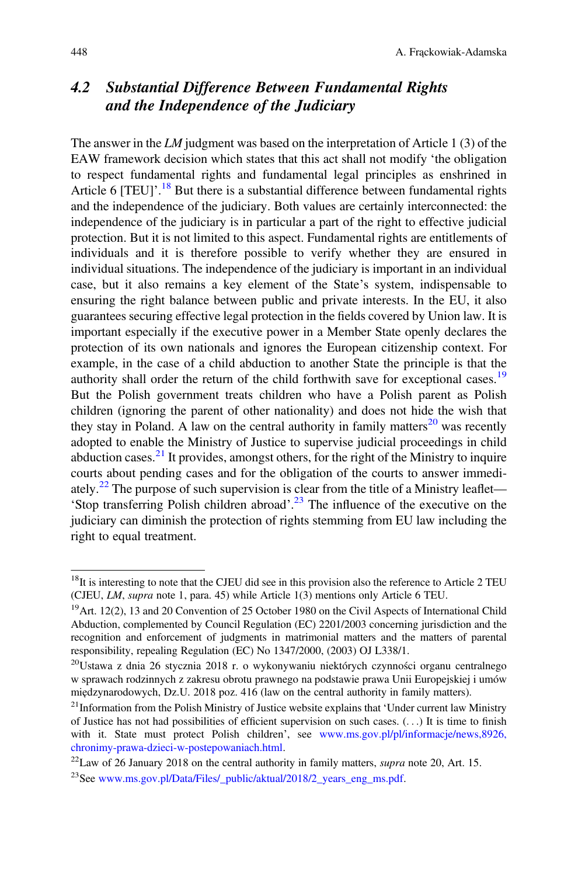# <span id="page-5-0"></span>4.2 Substantial Difference Between Fundamental Rights and the Independence of the Judiciary

The answer in the LM judgment was based on the interpretation of Article 1 (3) of the EAW framework decision which states that this act shall not modify 'the obligation to respect fundamental rights and fundamental legal principles as enshrined in Article 6 [TEU]'.<sup>[18](#page-5-1)</sup> But there is a substantial difference between fundamental rights and the independence of the judiciary. Both values are certainly interconnected: the independence of the judiciary is in particular a part of the right to effective judicial protection. But it is not limited to this aspect. Fundamental rights are entitlements of individuals and it is therefore possible to verify whether they are ensured in individual situations. The independence of the judiciary is important in an individual case, but it also remains a key element of the State's system, indispensable to ensuring the right balance between public and private interests. In the EU, it also guarantees securing effective legal protection in the fields covered by Union law. It is important especially if the executive power in a Member State openly declares the protection of its own nationals and ignores the European citizenship context. For example, in the case of a child abduction to another State the principle is that the authority shall order the return of the child forthwith save for exceptional cases.<sup>[19](#page-5-2)</sup> But the Polish government treats children who have a Polish parent as Polish children (ignoring the parent of other nationality) and does not hide the wish that they stay in Poland. A law on the central authority in family matters<sup>[20](#page-5-3)</sup> was recently adopted to enable the Ministry of Justice to supervise judicial proceedings in child abduction cases. $^{21}$  $^{21}$  $^{21}$  It provides, amongst others, for the right of the Ministry to inquire courts about pending cases and for the obligation of the courts to answer immedi-ately.<sup>[22](#page-5-5)</sup> The purpose of such supervision is clear from the title of a Ministry leaflet— 'Stop transferring Polish children abroad'. [23](#page-5-6) The influence of the executive on the judiciary can diminish the protection of rights stemming from EU law including the right to equal treatment.

<span id="page-5-1"></span><sup>&</sup>lt;sup>18</sup>It is interesting to note that the CJEU did see in this provision also the reference to Article 2 TEU (CJEU, LM, supra note 1, para. 45) while Article 1(3) mentions only Article 6 TEU.

<span id="page-5-2"></span><sup>&</sup>lt;sup>19</sup> Art. 12(2), 13 and 20 Convention of 25 October 1980 on the Civil Aspects of International Child Abduction, complemented by Council Regulation (EC) 2201/2003 concerning jurisdiction and the recognition and enforcement of judgments in matrimonial matters and the matters of parental responsibility, repealing Regulation (EC) No 1347/2000, (2003) OJ L338/1.

<span id="page-5-3"></span><sup>20</sup>Ustawa z dnia 26 stycznia 2018 r. o wykonywaniu niektórych czynności organu centralnego w sprawach rodzinnych z zakresu obrotu prawnego na podstawie prawa Unii Europejskiej i umów międzynarodowych, Dz.U. 2018 poz. 416 (law on the central authority in family matters).

<span id="page-5-4"></span> $21$ Information from the Polish Ministry of Justice website explains that 'Under current law Ministry of Justice has not had possibilities of efficient supervision on such cases. (...) It is time to finish with it. State must protect Polish children', see [www.ms.gov.pl/pl/informacje/news,8926,](http://www.ms.gov.pl/pl/informacje/news,8926,chronimy-prawa-dzieci-w-postepowaniach.html) [chronimy-prawa-dzieci-w-postepowaniach.html](http://www.ms.gov.pl/pl/informacje/news,8926,chronimy-prawa-dzieci-w-postepowaniach.html).

<span id="page-5-5"></span> $^{22}$ Law of 26 January 2018 on the central authority in family matters, *supra* note 20, Art. 15.

<span id="page-5-6"></span><sup>&</sup>lt;sup>23</sup>See [www.ms.gov.pl/Data/Files/\\_public/aktual/2018/2\\_years\\_eng\\_ms.pdf.](http://www.ms.gov.pl/Data/Files/_public/aktual/2018/2_years_eng_ms.pdf)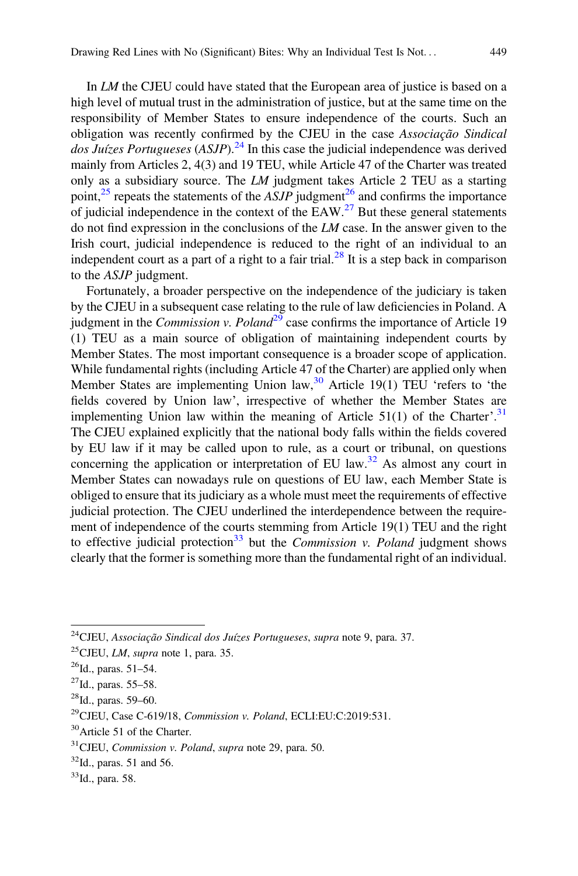In LM the CJEU could have stated that the European area of justice is based on a high level of mutual trust in the administration of justice, but at the same time on the responsibility of Member States to ensure independence of the courts. Such an obligation was recently confirmed by the CJEU in the case Associação Sindical  $\log J$ uízes Portugueses (ASJP).<sup>[24](#page-6-0)</sup> In this case the judicial independence was derived mainly from Articles 2, 4(3) and 19 TEU, while Article 47 of the Charter was treated only as a subsidiary source. The LM judgment takes Article 2 TEU as a starting point,<sup>[25](#page-6-1)</sup> repeats the statements of the  $ASJP$  judgment<sup>26</sup> and confirms the importance of judicial independence in the context of the EAW.<sup>[27](#page-6-3)</sup> But these general statements do not find expression in the conclusions of the LM case. In the answer given to the Irish court, judicial independence is reduced to the right of an individual to an independent court as a part of a right to a fair trial.<sup>[28](#page-6-4)</sup> It is a step back in comparison to the ASJP judgment.

Fortunately, a broader perspective on the independence of the judiciary is taken by the CJEU in a subsequent case relating to the rule of law deficiencies in Poland. A judgment in the *Commission v. Poland*<sup>[29](#page-6-5)</sup> case confirms the importance of Article 19 (1) TEU as a main source of obligation of maintaining independent courts by Member States. The most important consequence is a broader scope of application. While fundamental rights (including Article 47 of the Charter) are applied only when Member States are implementing Union law,  $30$  Article 19(1) TEU 'refers to 'the fields covered by Union law', irrespective of whether the Member States are implementing Union law within the meaning of Article  $51(1)$  of the Charter'.<sup>[31](#page-6-7)</sup> The CJEU explained explicitly that the national body falls within the fields covered by EU law if it may be called upon to rule, as a court or tribunal, on questions concerning the application or interpretation of EU law.<sup>[32](#page-6-8)</sup> As almost any court in Member States can nowadays rule on questions of EU law, each Member State is obliged to ensure that its judiciary as a whole must meet the requirements of effective judicial protection. The CJEU underlined the interdependence between the requirement of independence of the courts stemming from Article 19(1) TEU and the right to effective judicial protection<sup>[33](#page-6-9)</sup> but the *Commission v. Poland* judgment shows clearly that the former is something more than the fundamental right of an individual.

<span id="page-6-0"></span><sup>&</sup>lt;sup>24</sup>CJEU, Associação Sindical dos Juízes Portugueses, supra note 9, para. 37.

<span id="page-6-1"></span> $^{25}$ CJEU, *LM*, *supra* note 1, para. 35.

<span id="page-6-2"></span> $^{26}$ Id., paras. 51–54.

<span id="page-6-3"></span> $^{27}$ Id., paras. 55–58.

<span id="page-6-4"></span><sup>28</sup>Id., paras. 59–60.

<span id="page-6-5"></span><sup>29</sup>CJEU, Case C-619/18, Commission v. Poland, ECLI:EU:C:2019:531.

<span id="page-6-6"></span><sup>30</sup>Article 51 of the Charter.

<span id="page-6-7"></span><sup>31</sup>CJEU, Commission v. Poland, supra note 29, para. 50.

<span id="page-6-8"></span> $32$ Id., paras. 51 and 56.

<span id="page-6-9"></span><sup>33</sup>Id., para. 58.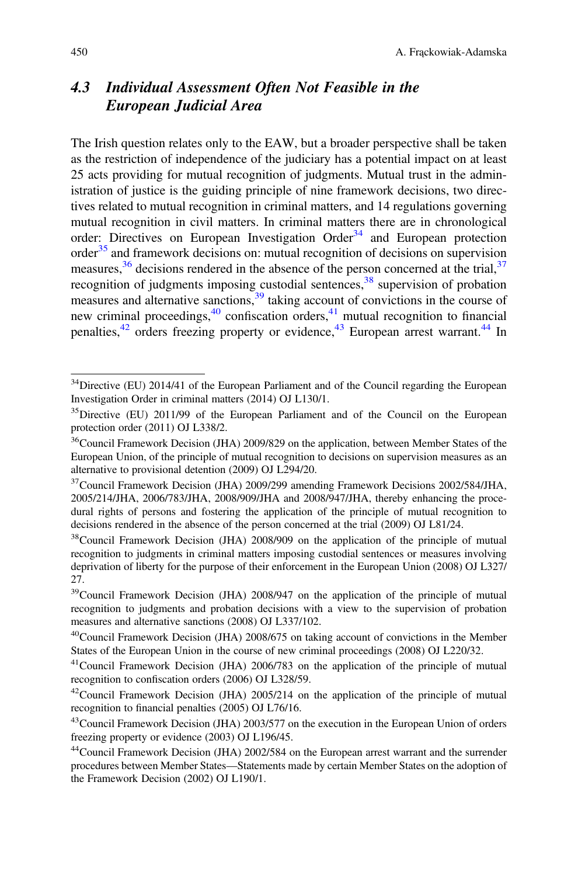# <span id="page-7-0"></span>4.3 Individual Assessment Often Not Feasible in the European Judicial Area

The Irish question relates only to the EAW, but a broader perspective shall be taken as the restriction of independence of the judiciary has a potential impact on at least 25 acts providing for mutual recognition of judgments. Mutual trust in the administration of justice is the guiding principle of nine framework decisions, two directives related to mutual recognition in criminal matters, and 14 regulations governing mutual recognition in civil matters. In criminal matters there are in chronological order: Directives on European Investigation Order<sup>[34](#page-7-1)</sup> and European protection order<sup>[35](#page-7-2)</sup> and framework decisions on: mutual recognition of decisions on supervision measures,  $36$  decisions rendered in the absence of the person concerned at the trial,  $37$ recognition of judgments imposing custodial sentences,  $38$  supervision of probation measures and alternative sanctions,[39](#page-7-6) taking account of convictions in the course of new criminal proceedings, $40$  confiscation orders, $41$  mutual recognition to financial penalties,  $42$  orders freezing property or evidence,  $43$  European arrest warrant.  $44$  In

<span id="page-7-1"></span><sup>&</sup>lt;sup>34</sup>Directive (EU) 2014/41 of the European Parliament and of the Council regarding the European Investigation Order in criminal matters (2014) OJ L130/1.

<span id="page-7-2"></span><sup>&</sup>lt;sup>35</sup>Directive (EU) 2011/99 of the European Parliament and of the Council on the European protection order (2011) OJ L338/2.

<span id="page-7-3"></span><sup>&</sup>lt;sup>36</sup>Council Framework Decision (JHA) 2009/829 on the application, between Member States of the European Union, of the principle of mutual recognition to decisions on supervision measures as an alternative to provisional detention (2009) OJ L294/20.

<span id="page-7-4"></span><sup>&</sup>lt;sup>37</sup>Council Framework Decision (JHA) 2009/299 amending Framework Decisions 2002/584/JHA, 2005/214/JHA, 2006/783/JHA, 2008/909/JHA and 2008/947/JHA, thereby enhancing the procedural rights of persons and fostering the application of the principle of mutual recognition to decisions rendered in the absence of the person concerned at the trial (2009) OJ L81/24.

<span id="page-7-5"></span><sup>&</sup>lt;sup>38</sup>Council Framework Decision (JHA) 2008/909 on the application of the principle of mutual recognition to judgments in criminal matters imposing custodial sentences or measures involving deprivation of liberty for the purpose of their enforcement in the European Union (2008) OJ L327/ 27.

<span id="page-7-6"></span><sup>&</sup>lt;sup>39</sup>Council Framework Decision (JHA) 2008/947 on the application of the principle of mutual recognition to judgments and probation decisions with a view to the supervision of probation measures and alternative sanctions (2008) OJ L337/102.

<span id="page-7-7"></span><sup>40</sup>Council Framework Decision (JHA) 2008/675 on taking account of convictions in the Member States of the European Union in the course of new criminal proceedings (2008) OJ L220/32.

<span id="page-7-8"></span><sup>41</sup>Council Framework Decision (JHA) 2006/783 on the application of the principle of mutual recognition to confiscation orders (2006) OJ L328/59.

<span id="page-7-9"></span><sup>42</sup>Council Framework Decision (JHA) 2005/214 on the application of the principle of mutual recognition to financial penalties (2005) OJ L76/16.

<span id="page-7-10"></span><sup>&</sup>lt;sup>43</sup>Council Framework Decision (JHA) 2003/577 on the execution in the European Union of orders freezing property or evidence (2003) OJ L196/45.

<span id="page-7-11"></span><sup>44</sup>Council Framework Decision (JHA) 2002/584 on the European arrest warrant and the surrender procedures between Member States—Statements made by certain Member States on the adoption of the Framework Decision (2002) OJ L190/1.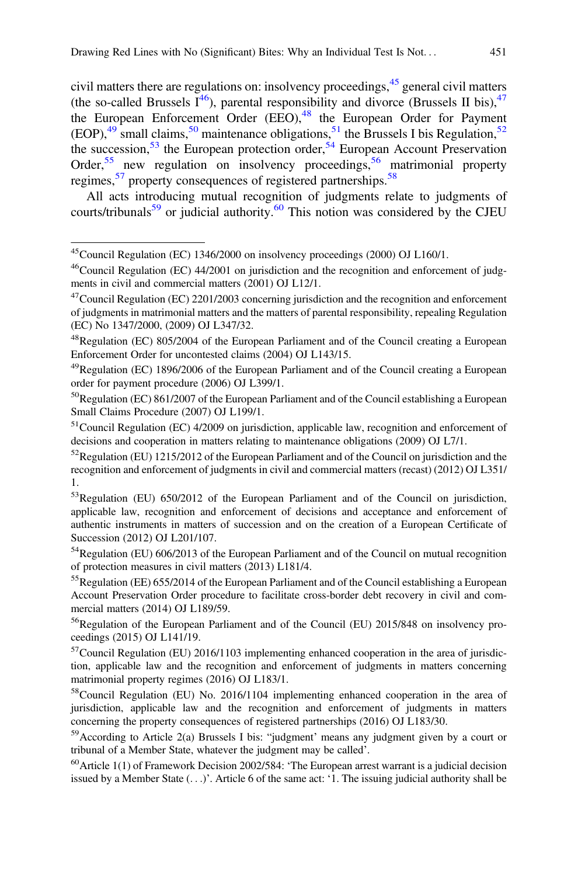civil matters there are regulations on: insolvency proceedings,  $4<sup>5</sup>$  general civil matters (the so-called Brussels  $\overline{I}^{46}$ ), parental responsibility and divorce (Brussels II bis),  $^{47}$  $^{47}$  $^{47}$ the European Enforcement Order (EEO),<sup>[48](#page-8-3)</sup> the European Order for Payment (EOP), $49 \text{ small claims}, \frac{50}{3}$  $49 \text{ small claims}, \frac{50}{3}$  $49 \text{ small claims}, \frac{50}{3}$  $49 \text{ small claims}, \frac{50}{3}$  maintenance obligations,  $51 \text{ the Brussels I}$  $51 \text{ the Brussels I}$  bis Regulation,  $52 \text{ A}$  $52 \text{ A}$ the succession,  $53$  the European protection order,  $54$  European Account Preservation Order,<sup>[55](#page-8-10)</sup> new regulation on insolvency proceedings,<sup>[56](#page-8-11)</sup> matrimonial property regimes,<sup>[57](#page-8-12)</sup> property consequences of registered partnerships.<sup>[58](#page-8-13)</sup>

All acts introducing mutual recognition of judgments relate to judgments of courts/tribunals $59$  or judicial authority. $60$  This notion was considered by the CJEU

<span id="page-8-0"></span><sup>45</sup>Council Regulation (EC) 1346/2000 on insolvency proceedings (2000) OJ L160/1.

<span id="page-8-1"></span><sup>&</sup>lt;sup>46</sup>Council Regulation (EC) 44/2001 on jurisdiction and the recognition and enforcement of judgments in civil and commercial matters (2001) OJ L12/1.

<span id="page-8-2"></span> $^{47}$ Council Regulation (EC) 2201/2003 concerning jurisdiction and the recognition and enforcement of judgments in matrimonial matters and the matters of parental responsibility, repealing Regulation (EC) No 1347/2000, (2009) OJ L347/32.

<span id="page-8-3"></span><sup>48</sup>Regulation (EC) 805/2004 of the European Parliament and of the Council creating a European Enforcement Order for uncontested claims (2004) OJ L143/15.

<span id="page-8-4"></span><sup>49</sup>Regulation (EC) 1896/2006 of the European Parliament and of the Council creating a European order for payment procedure (2006) OJ L399/1.

<span id="page-8-5"></span><sup>50</sup>Regulation (EC) 861/2007 of the European Parliament and of the Council establishing a European Small Claims Procedure (2007) OJ L199/1.

<span id="page-8-6"></span><sup>51</sup>Council Regulation (EC) 4/2009 on jurisdiction, applicable law, recognition and enforcement of decisions and cooperation in matters relating to maintenance obligations (2009) OJ L7/1.

<span id="page-8-7"></span> $52$ Regulation (EU) 1215/2012 of the European Parliament and of the Council on jurisdiction and the recognition and enforcement of judgments in civil and commercial matters (recast) (2012) OJ L351/ 1.

<span id="page-8-8"></span><sup>&</sup>lt;sup>53</sup>Regulation (EU) 650/2012 of the European Parliament and of the Council on jurisdiction, applicable law, recognition and enforcement of decisions and acceptance and enforcement of authentic instruments in matters of succession and on the creation of a European Certificate of Succession (2012) OJ L201/107.

<span id="page-8-9"></span> $54$ Regulation (EU) 606/2013 of the European Parliament and of the Council on mutual recognition of protection measures in civil matters (2013) L181/4.

<span id="page-8-10"></span><sup>&</sup>lt;sup>55</sup>Regulation (EE) 655/2014 of the European Parliament and of the Council establishing a European Account Preservation Order procedure to facilitate cross-border debt recovery in civil and commercial matters (2014) OJ L189/59.

<span id="page-8-11"></span><sup>&</sup>lt;sup>56</sup>Regulation of the European Parliament and of the Council (EU) 2015/848 on insolvency proceedings (2015) OJ L141/19.

<span id="page-8-12"></span> $57$ Council Regulation (EU) 2016/1103 implementing enhanced cooperation in the area of jurisdiction, applicable law and the recognition and enforcement of judgments in matters concerning matrimonial property regimes (2016) OJ L183/1.

<span id="page-8-13"></span><sup>&</sup>lt;sup>58</sup>Council Regulation (EU) No. 2016/1104 implementing enhanced cooperation in the area of jurisdiction, applicable law and the recognition and enforcement of judgments in matters concerning the property consequences of registered partnerships (2016) OJ L183/30.

<span id="page-8-14"></span><sup>59</sup>According to Article 2(a) Brussels I bis: "judgment' means any judgment given by a court or tribunal of a Member State, whatever the judgment may be called'.

<span id="page-8-15"></span> $^{60}$ Article 1(1) of Framework Decision 2002/584: 'The European arrest warrant is a judicial decision issued by a Member State (...)'. Article 6 of the same act: '1. The issuing judicial authority shall be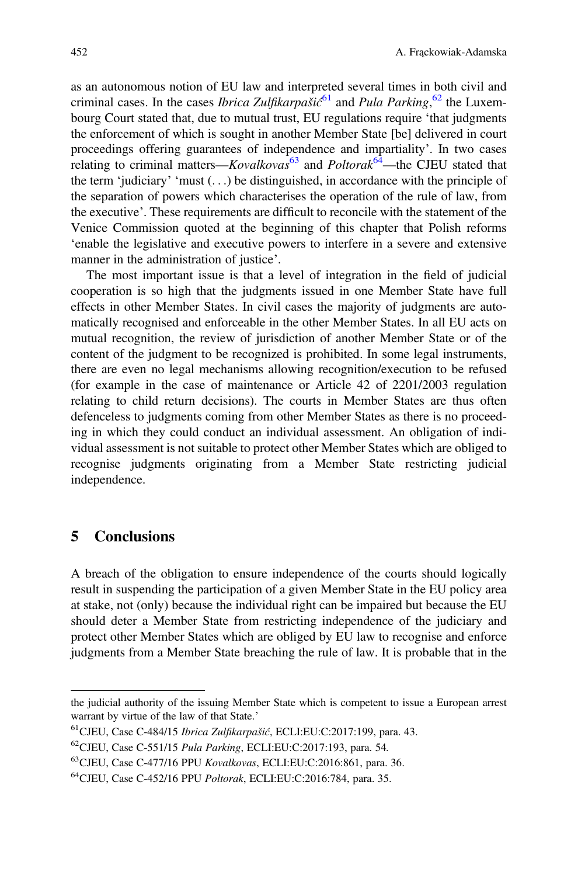as an autonomous notion of EU law and interpreted several times in both civil and criminal cases. In the cases *Ibrica Zulfikarpašić*<sup>[61](#page-9-1)</sup> and *Pula Parking*,<sup>[62](#page-9-2)</sup> the Luxembourg Court stated that, due to mutual trust, EU regulations require 'that judgments the enforcement of which is sought in another Member State [be] delivered in court proceedings offering guarantees of independence and impartiality'. In two cases relating to criminal matters—Kovalkovas<sup>[63](#page-9-3)</sup> and Poltorak<sup>[64](#page-9-4)</sup>—the CJEU stated that the term 'judiciary' 'must  $(\ldots)$  be distinguished, in accordance with the principle of the separation of powers which characterises the operation of the rule of law, from the executive'. These requirements are difficult to reconcile with the statement of the Venice Commission quoted at the beginning of this chapter that Polish reforms 'enable the legislative and executive powers to interfere in a severe and extensive manner in the administration of justice'.

The most important issue is that a level of integration in the field of judicial cooperation is so high that the judgments issued in one Member State have full effects in other Member States. In civil cases the majority of judgments are automatically recognised and enforceable in the other Member States. In all EU acts on mutual recognition, the review of jurisdiction of another Member State or of the content of the judgment to be recognized is prohibited. In some legal instruments, there are even no legal mechanisms allowing recognition/execution to be refused (for example in the case of maintenance or Article 42 of 2201/2003 regulation relating to child return decisions). The courts in Member States are thus often defenceless to judgments coming from other Member States as there is no proceeding in which they could conduct an individual assessment. An obligation of individual assessment is not suitable to protect other Member States which are obliged to recognise judgments originating from a Member State restricting judicial independence.

### <span id="page-9-0"></span>5 Conclusions

A breach of the obligation to ensure independence of the courts should logically result in suspending the participation of a given Member State in the EU policy area at stake, not (only) because the individual right can be impaired but because the EU should deter a Member State from restricting independence of the judiciary and protect other Member States which are obliged by EU law to recognise and enforce judgments from a Member State breaching the rule of law. It is probable that in the

the judicial authority of the issuing Member State which is competent to issue a European arrest warrant by virtue of the law of that State.'

<span id="page-9-1"></span><sup>&</sup>lt;sup>61</sup>CJEU, Case C-484/15 Ibrica Zulfikarpašić, ECLI:EU:C:2017:199, para. 43.

<span id="page-9-3"></span><span id="page-9-2"></span> $^{62}$ CJEU, Case C-551/15 *Pula Parking*, ECLI:EU:C:2017:193, para. 54.

<sup>&</sup>lt;sup>63</sup>CJEU, Case C-477/16 PPU Kovalkovas, ECLI:EU:C:2016:861, para. 36.

<span id="page-9-4"></span><sup>64</sup>CJEU, Case C-452/16 PPU Poltorak, ECLI:EU:C:2016:784, para. 35.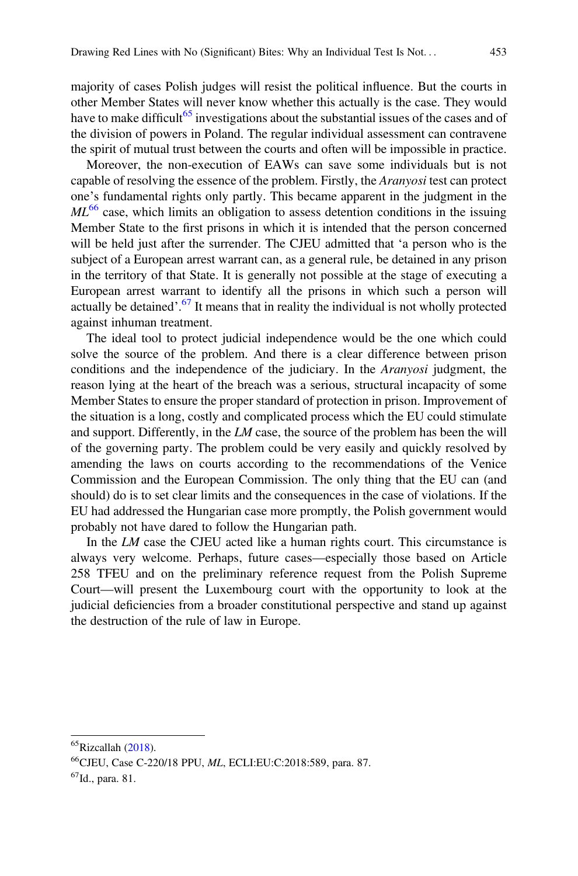majority of cases Polish judges will resist the political influence. But the courts in other Member States will never know whether this actually is the case. They would have to make difficult<sup>[65](#page-10-0)</sup> investigations about the substantial issues of the cases and of the division of powers in Poland. The regular individual assessment can contravene the spirit of mutual trust between the courts and often will be impossible in practice.

Moreover, the non-execution of EAWs can save some individuals but is not capable of resolving the essence of the problem. Firstly, the Aranyosi test can protect one's fundamental rights only partly. This became apparent in the judgment in the  $ML<sup>66</sup>$  $ML<sup>66</sup>$  $ML<sup>66</sup>$  case, which limits an obligation to assess detention conditions in the issuing Member State to the first prisons in which it is intended that the person concerned will be held just after the surrender. The CJEU admitted that 'a person who is the subject of a European arrest warrant can, as a general rule, be detained in any prison in the territory of that State. It is generally not possible at the stage of executing a European arrest warrant to identify all the prisons in which such a person will actually be detained'.<sup>[67](#page-10-2)</sup> It means that in reality the individual is not wholly protected against inhuman treatment.

The ideal tool to protect judicial independence would be the one which could solve the source of the problem. And there is a clear difference between prison conditions and the independence of the judiciary. In the Aranyosi judgment, the reason lying at the heart of the breach was a serious, structural incapacity of some Member States to ensure the proper standard of protection in prison. Improvement of the situation is a long, costly and complicated process which the EU could stimulate and support. Differently, in the  $LM$  case, the source of the problem has been the will of the governing party. The problem could be very easily and quickly resolved by amending the laws on courts according to the recommendations of the Venice Commission and the European Commission. The only thing that the EU can (and should) do is to set clear limits and the consequences in the case of violations. If the EU had addressed the Hungarian case more promptly, the Polish government would probably not have dared to follow the Hungarian path.

In the LM case the CJEU acted like a human rights court. This circumstance is always very welcome. Perhaps, future cases—especially those based on Article 258 TFEU and on the preliminary reference request from the Polish Supreme Court—will present the Luxembourg court with the opportunity to look at the judicial deficiencies from a broader constitutional perspective and stand up against the destruction of the rule of law in Europe.

<span id="page-10-1"></span><span id="page-10-0"></span> ${}^{65}$ Rizcallah [\(2018](#page-11-1)).

<sup>&</sup>lt;sup>66</sup>CJEU, Case C-220/18 PPU, ML, ECLI:EU:C:2018:589, para. 87.

<span id="page-10-2"></span> $^{67}$ Id., para. 81.